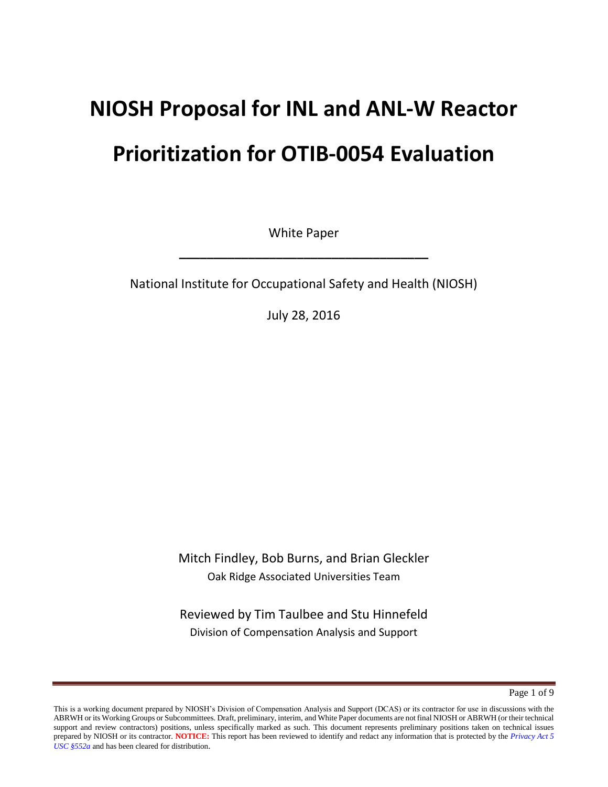# **NIOSH Proposal for INL and ANL-W Reactor**

# **Prioritization for OTIB-0054 Evaluation**

White Paper

**\_\_\_\_\_\_\_\_\_\_\_\_\_\_\_\_\_\_\_\_\_\_\_\_\_\_\_\_\_\_\_\_\_\_\_\_**

National Institute for Occupational Safety and Health (NIOSH)

July 28, 2016

Mitch Findley, Bob Burns, and Brian Gleckler Oak Ridge Associated Universities Team

Reviewed by Tim Taulbee and Stu Hinnefeld Division of Compensation Analysis and Support

Page 1 of 9

This is a working document prepared by NIOSH's Division of Compensation Analysis and Support (DCAS) or its contractor for use in discussions with the ABRWH or its Working Groups or Subcommittees. Draft, preliminary, interim, and White Paper documents are not final NIOSH or ABRWH (or their technical support and review contractors) positions, unless specifically marked as such. This document represents preliminary positions taken on technical issues prepared by NIOSH or its contractor. **NOTICE:** This report has been reviewed to identify and redact any information that is protected by the *Privacy Act 5 USC §552a* and has been cleared for distribution.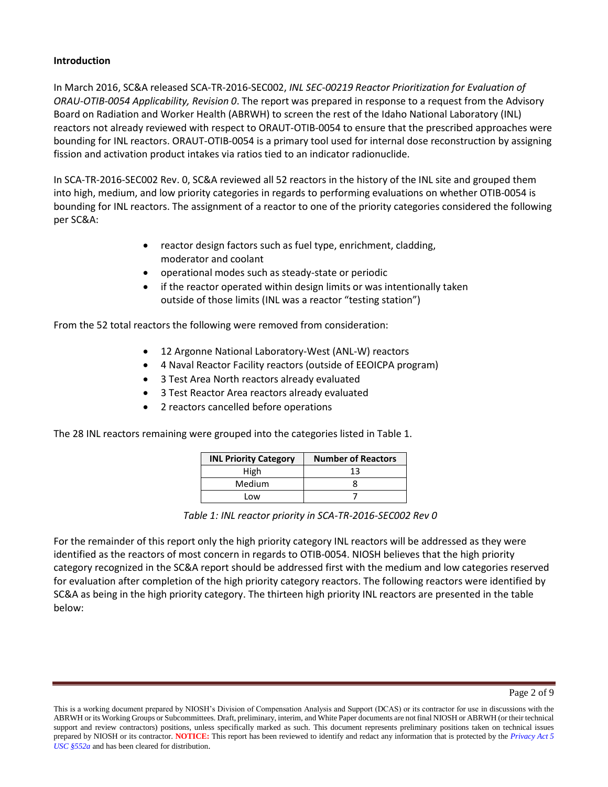#### **Introduction**

In March 2016, SC&A released SCA-TR-2016-SEC002, *INL SEC-00219 Reactor Prioritization for Evaluation of ORAU-OTIB-0054 Applicability, Revision 0*. The report was prepared in response to a request from the Advisory Board on Radiation and Worker Health (ABRWH) to screen the rest of the Idaho National Laboratory (INL) reactors not already reviewed with respect to ORAUT-OTIB-0054 to ensure that the prescribed approaches were bounding for INL reactors. ORAUT-OTIB-0054 is a primary tool used for internal dose reconstruction by assigning fission and activation product intakes via ratios tied to an indicator radionuclide.

In SCA-TR-2016-SEC002 Rev. 0, SC&A reviewed all 52 reactors in the history of the INL site and grouped them into high, medium, and low priority categories in regards to performing evaluations on whether OTIB-0054 is bounding for INL reactors. The assignment of a reactor to one of the priority categories considered the following per SC&A:

- reactor design factors such as fuel type, enrichment, cladding, moderator and coolant
- operational modes such as steady-state or periodic
- if the reactor operated within design limits or was intentionally taken outside of those limits (INL was a reactor "testing station")

From the 52 total reactors the following were removed from consideration:

- 12 Argonne National Laboratory-West (ANL-W) reactors
- 4 Naval Reactor Facility reactors (outside of EEOICPA program)
- 3 Test Area North reactors already evaluated
- 3 Test Reactor Area reactors already evaluated
- 2 reactors cancelled before operations

The 28 INL reactors remaining were grouped into the categories listed in Table 1.

| <b>INL Priority Category</b> | <b>Number of Reactors</b> |
|------------------------------|---------------------------|
| High                         | 13                        |
| Medium                       |                           |
| Low                          |                           |

*Table 1: INL reactor priority in SCA-TR-2016-SEC002 Rev 0* 

For the remainder of this report only the high priority category INL reactors will be addressed as they were identified as the reactors of most concern in regards to OTIB-0054. NIOSH believes that the high priority category recognized in the SC&A report should be addressed first with the medium and low categories reserved for evaluation after completion of the high priority category reactors. The following reactors were identified by SC&A as being in the high priority category. The thirteen high priority INL reactors are presented in the table below:

This is a working document prepared by NIOSH's Division of Compensation Analysis and Support (DCAS) or its contractor for use in discussions with the ABRWH or its Working Groups or Subcommittees. Draft, preliminary, interim, and White Paper documents are not final NIOSH or ABRWH (or their technical support and review contractors) positions, unless specifically marked as such. This document represents preliminary positions taken on technical issues prepared by NIOSH or its contractor. **NOTICE:** This report has been reviewed to identify and redact any information that is protected by the *Privacy Act 5 USC §552a* and has been cleared for distribution.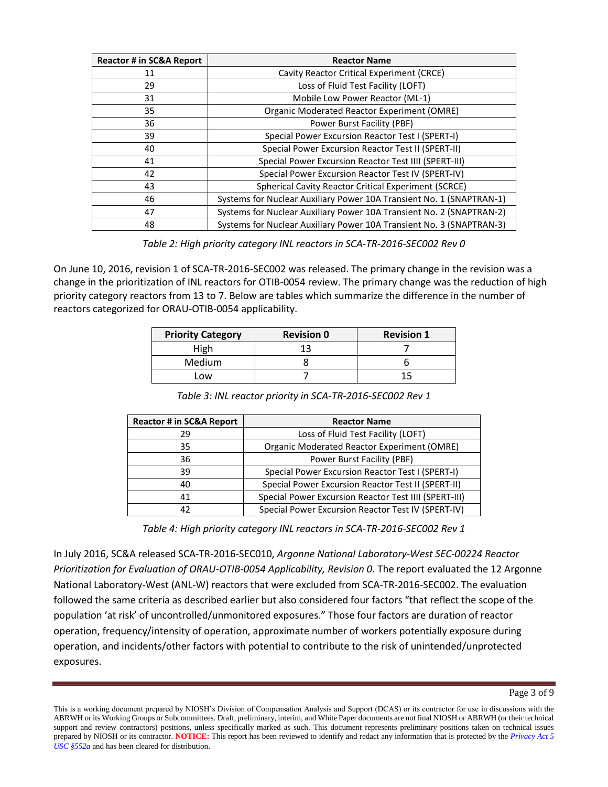| <b>Reactor # in SC&amp;A Report</b> | <b>Reactor Name</b>                                                  |
|-------------------------------------|----------------------------------------------------------------------|
| 11                                  | Cavity Reactor Critical Experiment (CRCE)                            |
| 29                                  | Loss of Fluid Test Facility (LOFT)                                   |
| 31                                  | Mobile Low Power Reactor (ML-1)                                      |
| 35                                  | <b>Organic Moderated Reactor Experiment (OMRE)</b>                   |
| 36                                  | Power Burst Facility (PBF)                                           |
| 39                                  | Special Power Excursion Reactor Test I (SPERT-I)                     |
| 40                                  | Special Power Excursion Reactor Test II (SPERT-II)                   |
| 41                                  | Special Power Excursion Reactor Test IIII (SPERT-III)                |
| 42                                  | Special Power Excursion Reactor Test IV (SPERT-IV)                   |
| 43                                  | <b>Spherical Cavity Reactor Critical Experiment (SCRCE)</b>          |
| 46                                  | Systems for Nuclear Auxiliary Power 10A Transient No. 1 (SNAPTRAN-1) |
| 47                                  | Systems for Nuclear Auxiliary Power 10A Transient No. 2 (SNAPTRAN-2) |
| 48                                  | Systems for Nuclear Auxiliary Power 10A Transient No. 3 (SNAPTRAN-3) |

*Table 2: High priority category INL reactors in SCA-TR-2016-SEC002 Rev 0* 

On June 10, 2016, revision 1 of SCA-TR-2016-SEC002 was released. The primary change in the revision was a change in the prioritization of INL reactors for OTIB-0054 review. The primary change was the reduction of high priority category reactors from 13 to 7. Below are tables which summarize the difference in the number of reactors categorized for ORAU-OTIB-0054 applicability.

| <b>Priority Category</b> | <b>Revision 0</b> | <b>Revision 1</b> |
|--------------------------|-------------------|-------------------|
| High                     |                   |                   |
| Medium                   |                   |                   |
| _NW                      |                   |                   |

*Table 3: INL reactor priority in SCA-TR-2016-SEC002 Rev 1* 

| <b>Reactor # in SC&amp;A Report</b> | <b>Reactor Name</b>                                   |
|-------------------------------------|-------------------------------------------------------|
| 29                                  | Loss of Fluid Test Facility (LOFT)                    |
| 35                                  | <b>Organic Moderated Reactor Experiment (OMRE)</b>    |
| 36                                  | Power Burst Facility (PBF)                            |
| 39                                  | Special Power Excursion Reactor Test I (SPERT-I)      |
| 40                                  | Special Power Excursion Reactor Test II (SPERT-II)    |
| 41                                  | Special Power Excursion Reactor Test IIII (SPERT-III) |
| 42                                  | Special Power Excursion Reactor Test IV (SPERT-IV)    |

*Table 4: High priority category INL reactors in SCA-TR-2016-SEC002 Rev 1* 

In July 2016, SC&A released SCA-TR-2016-SEC010, *Argonne National Laboratory-West SEC-00224 Reactor Prioritization for Evaluation of ORAU-OTIB-0054 Applicability, Revision 0*. The report evaluated the 12 Argonne National Laboratory-West (ANL-W) reactors that were excluded from SCA-TR-2016-SEC002. The evaluation followed the same criteria as described earlier but also considered four factors "that reflect the scope of the population 'at risk' of uncontrolled/unmonitored exposures." Those four factors are duration of reactor operation, frequency/intensity of operation, approximate number of workers potentially exposure during operation, and incidents/other factors with potential to contribute to the risk of unintended/unprotected exposures.

This is a working document prepared by NIOSH's Division of Compensation Analysis and Support (DCAS) or its contractor for use in discussions with the ABRWH or its Working Groups or Subcommittees. Draft, preliminary, interim, and White Paper documents are not final NIOSH or ABRWH (or their technical support and review contractors) positions, unless specifically marked as such. This document represents preliminary positions taken on technical issues prepared by NIOSH or its contractor. **NOTICE:** This report has been reviewed to identify and redact any information that is protected by the *Privacy Act 5 USC §552a* and has been cleared for distribution.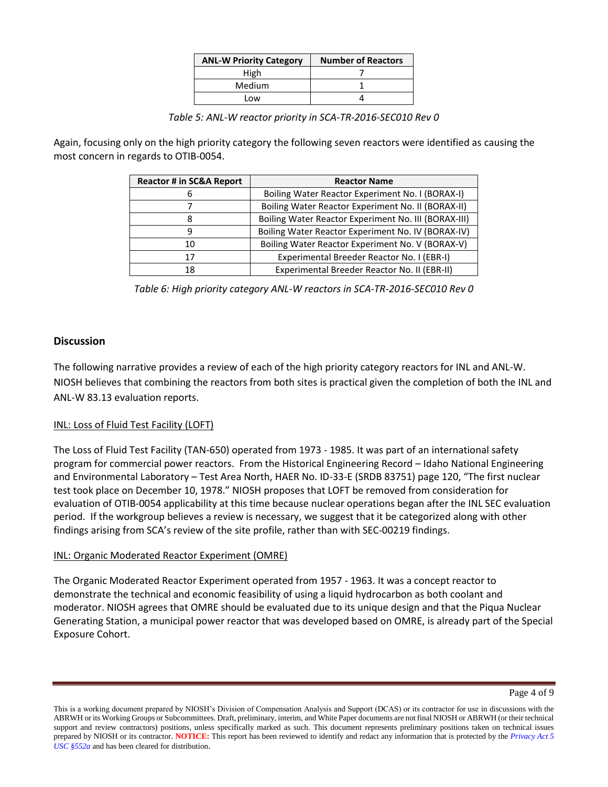| <b>ANL-W Priority Category</b> | <b>Number of Reactors</b> |
|--------------------------------|---------------------------|
| High                           |                           |
| Medium                         |                           |
| Low                            |                           |

*Table 5: ANL-W reactor priority in SCA-TR-2016-SEC010 Rev 0* 

Again, focusing only on the high priority category the following seven reactors were identified as causing the most concern in regards to OTIB-0054.

| <b>Reactor # in SC&amp;A Report</b> | <b>Reactor Name</b>                                  |
|-------------------------------------|------------------------------------------------------|
| 6                                   | Boiling Water Reactor Experiment No. I (BORAX-I)     |
|                                     | Boiling Water Reactor Experiment No. II (BORAX-II)   |
| 8                                   | Boiling Water Reactor Experiment No. III (BORAX-III) |
| 9                                   | Boiling Water Reactor Experiment No. IV (BORAX-IV)   |
| 10                                  | Boiling Water Reactor Experiment No. V (BORAX-V)     |
| 17                                  | Experimental Breeder Reactor No. I (EBR-I)           |
| 18                                  | Experimental Breeder Reactor No. II (EBR-II)         |

*Table 6: High priority category ANL-W reactors in SCA-TR-2016-SEC010 Rev 0* 

## **Discussion**

The following narrative provides a review of each of the high priority category reactors for INL and ANL-W. NIOSH believes that combining the reactors from both sites is practical given the completion of both the INL and ANL-W 83.13 evaluation reports.

#### INL: Loss of Fluid Test Facility (LOFT)

The Loss of Fluid Test Facility (TAN-650) operated from 1973 - 1985. It was part of an international safety program for commercial power reactors. From the Historical Engineering Record – Idaho National Engineering and Environmental Laboratory – Test Area North, HAER No. ID-33-E (SRDB 83751) page 120, "The first nuclear test took place on December 10, 1978." NIOSH proposes that LOFT be removed from consideration for evaluation of OTIB-0054 applicability at this time because nuclear operations began after the INL SEC evaluation period. If the workgroup believes a review is necessary, we suggest that it be categorized along with other findings arising from SCA's review of the site profile, rather than with SEC-00219 findings.

#### INL: Organic Moderated Reactor Experiment (OMRE)

The Organic Moderated Reactor Experiment operated from 1957 - 1963. It was a concept reactor to demonstrate the technical and economic feasibility of using a liquid hydrocarbon as both coolant and moderator. NIOSH agrees that OMRE should be evaluated due to its unique design and that the Piqua Nuclear Generating Station, a municipal power reactor that was developed based on OMRE, is already part of the Special Exposure Cohort.

This is a working document prepared by NIOSH's Division of Compensation Analysis and Support (DCAS) or its contractor for use in discussions with the ABRWH or its Working Groups or Subcommittees. Draft, preliminary, interim, and White Paper documents are not final NIOSH or ABRWH (or their technical support and review contractors) positions, unless specifically marked as such. This document represents preliminary positions taken on technical issues prepared by NIOSH or its contractor. **NOTICE:** This report has been reviewed to identify and redact any information that is protected by the *Privacy Act 5 USC §552a* and has been cleared for distribution.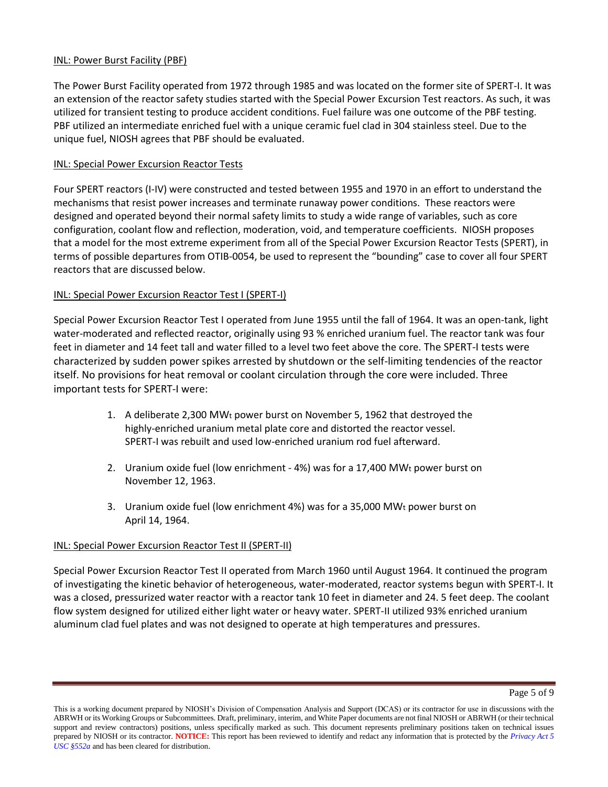#### INL: Power Burst Facility (PBF)

The Power Burst Facility operated from 1972 through 1985 and was located on the former site of SPERT-I. It was an extension of the reactor safety studies started with the Special Power Excursion Test reactors. As such, it was utilized for transient testing to produce accident conditions. Fuel failure was one outcome of the PBF testing. PBF utilized an intermediate enriched fuel with a unique ceramic fuel clad in 304 stainless steel. Due to the unique fuel, NIOSH agrees that PBF should be evaluated.

## INL: Special Power Excursion Reactor Tests

Four SPERT reactors (I-IV) were constructed and tested between 1955 and 1970 in an effort to understand the mechanisms that resist power increases and terminate runaway power conditions. These reactors were designed and operated beyond their normal safety limits to study a wide range of variables, such as core configuration, coolant flow and reflection, moderation, void, and temperature coefficients. NIOSH proposes that a model for the most extreme experiment from all of the Special Power Excursion Reactor Tests (SPERT), in terms of possible departures from OTIB-0054, be used to represent the "bounding" case to cover all four SPERT reactors that are discussed below.

## INL: Special Power Excursion Reactor Test I (SPERT-I)

Special Power Excursion Reactor Test I operated from June 1955 until the fall of 1964. It was an open-tank, light water-moderated and reflected reactor, originally using 93 % enriched uranium fuel. The reactor tank was four feet in diameter and 14 feet tall and water filled to a level two feet above the core. The SPERT-I tests were characterized by sudden power spikes arrested by shutdown or the self-limiting tendencies of the reactor itself. No provisions for heat removal or coolant circulation through the core were included. Three important tests for SPERT-I were:

- 1. A deliberate 2,300 MWt power burst on November 5, 1962 that destroyed the highly-enriched uranium metal plate core and distorted the reactor vessel. SPERT-I was rebuilt and used low-enriched uranium rod fuel afterward.
- 2. Uranium oxide fuel (low enrichment  $4\%$ ) was for a 17,400 MWt power burst on November 12, 1963.
- 3. Uranium oxide fuel (low enrichment 4%) was for a 35,000 MWt power burst on April 14, 1964.

#### INL: Special Power Excursion Reactor Test II (SPERT-II)

Special Power Excursion Reactor Test II operated from March 1960 until August 1964. It continued the program of investigating the kinetic behavior of heterogeneous, water-moderated, reactor systems begun with SPERT-I. It was a closed, pressurized water reactor with a reactor tank 10 feet in diameter and 24. 5 feet deep. The coolant flow system designed for utilized either light water or heavy water. SPERT-II utilized 93% enriched uranium aluminum clad fuel plates and was not designed to operate at high temperatures and pressures.

This is a working document prepared by NIOSH's Division of Compensation Analysis and Support (DCAS) or its contractor for use in discussions with the ABRWH or its Working Groups or Subcommittees. Draft, preliminary, interim, and White Paper documents are not final NIOSH or ABRWH (or their technical support and review contractors) positions, unless specifically marked as such. This document represents preliminary positions taken on technical issues prepared by NIOSH or its contractor. **NOTICE:** This report has been reviewed to identify and redact any information that is protected by the *Privacy Act 5 USC §552a* and has been cleared for distribution.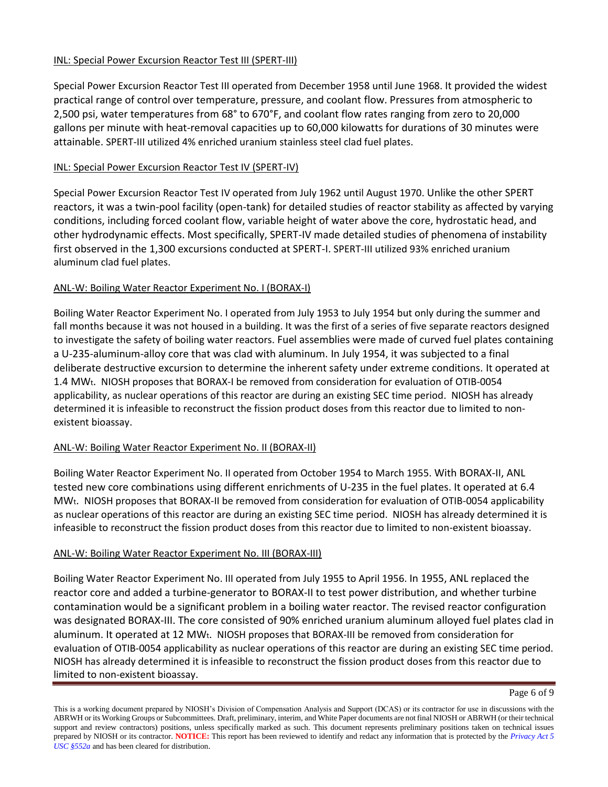## INL: Special Power Excursion Reactor Test III (SPERT-III)

Special Power Excursion Reactor Test III operated from December 1958 until June 1968. It provided the widest practical range of control over temperature, pressure, and coolant flow. Pressures from atmospheric to 2,500 psi, water temperatures from 68° to 670°F, and coolant flow rates ranging from zero to 20,000 gallons per minute with heat-removal capacities up to 60,000 kilowatts for durations of 30 minutes were attainable. SPERT-III utilized 4% enriched uranium stainless steel clad fuel plates.

# INL: Special Power Excursion Reactor Test IV (SPERT-IV)

Special Power Excursion Reactor Test IV operated from July 1962 until August 1970. Unlike the other SPERT reactors, it was a twin-pool facility (open-tank) for detailed studies of reactor stability as affected by varying conditions, including forced coolant flow, variable height of water above the core, hydrostatic head, and other hydrodynamic effects. Most specifically, SPERT-IV made detailed studies of phenomena of instability first observed in the 1,300 excursions conducted at SPERT-I. SPERT-III utilized 93% enriched uranium aluminum clad fuel plates.

## ANL-W: Boiling Water Reactor Experiment No. I (BORAX-I)

Boiling Water Reactor Experiment No. I operated from July 1953 to July 1954 but only during the summer and fall months because it was not housed in a building. It was the first of a series of five separate reactors designed to investigate the safety of boiling water reactors. Fuel assemblies were made of curved fuel plates containing a U-235-aluminum-alloy core that was clad with aluminum. In July 1954, it was subjected to a final deliberate destructive excursion to determine the inherent safety under extreme conditions. It operated at 1.4 MWt. NIOSH proposes that BORAX-I be removed from consideration for evaluation of OTIB-0054 applicability, as nuclear operations of this reactor are during an existing SEC time period. NIOSH has already determined it is infeasible to reconstruct the fission product doses from this reactor due to limited to nonexistent bioassay.

# ANL-W: Boiling Water Reactor Experiment No. II (BORAX-II)

Boiling Water Reactor Experiment No. II operated from October 1954 to March 1955. With BORAX-II, ANL tested new core combinations using different enrichments of U-235 in the fuel plates. It operated at 6.4 MWt. NIOSH proposes that BORAX-II be removed from consideration for evaluation of OTIB-0054 applicability as nuclear operations of this reactor are during an existing SEC time period. NIOSH has already determined it is infeasible to reconstruct the fission product doses from this reactor due to limited to non-existent bioassay.

# ANL-W: Boiling Water Reactor Experiment No. III (BORAX-III)

Boiling Water Reactor Experiment No. III operated from July 1955 to April 1956. In 1955, ANL replaced the reactor core and added a turbine-generator to BORAX-II to test power distribution, and whether turbine contamination would be a significant problem in a boiling water reactor. The revised reactor configuration was designated BORAX-III. The core consisted of 90% enriched uranium aluminum alloyed fuel plates clad in aluminum. It operated at 12 MWt. NIOSH proposes that BORAX-III be removed from consideration for evaluation of OTIB-0054 applicability as nuclear operations of this reactor are during an existing SEC time period. NIOSH has already determined it is infeasible to reconstruct the fission product doses from this reactor due to limited to non-existent bioassay.

This is a working document prepared by NIOSH's Division of Compensation Analysis and Support (DCAS) or its contractor for use in discussions with the ABRWH or its Working Groups or Subcommittees. Draft, preliminary, interim, and White Paper documents are not final NIOSH or ABRWH (or their technical support and review contractors) positions, unless specifically marked as such. This document represents preliminary positions taken on technical issues prepared by NIOSH or its contractor. **NOTICE:** This report has been reviewed to identify and redact any information that is protected by the *Privacy Act 5 USC §552a* and has been cleared for distribution.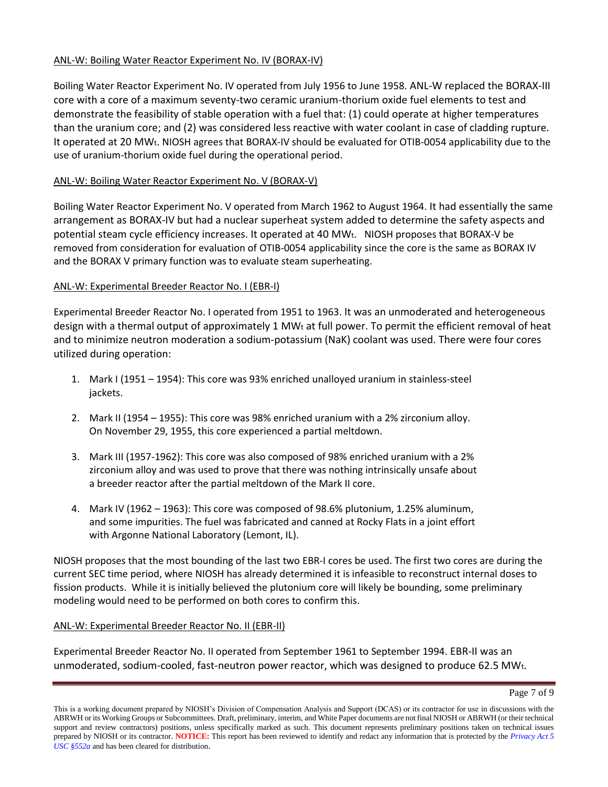## ANL-W: Boiling Water Reactor Experiment No. IV (BORAX-IV)

Boiling Water Reactor Experiment No. IV operated from July 1956 to June 1958. ANL-W replaced the BORAX-III core with a core of a maximum seventy-two ceramic uranium-thorium oxide fuel elements to test and demonstrate the feasibility of stable operation with a fuel that: (1) could operate at higher temperatures than the uranium core; and (2) was considered less reactive with water coolant in case of cladding rupture. It operated at 20 MWt. NIOSH agrees that BORAX-IV should be evaluated for OTIB-0054 applicability due to the use of uranium-thorium oxide fuel during the operational period.

# ANL-W: Boiling Water Reactor Experiment No. V (BORAX-V)

Boiling Water Reactor Experiment No. V operated from March 1962 to August 1964. It had essentially the same arrangement as BORAX-IV but had a nuclear superheat system added to determine the safety aspects and potential steam cycle efficiency increases. It operated at 40 MWt. NIOSH proposes that BORAX-V be removed from consideration for evaluation of OTIB-0054 applicability since the core is the same as BORAX IV and the BORAX V primary function was to evaluate steam superheating.

## ANL-W: Experimental Breeder Reactor No. I (EBR-I)

Experimental Breeder Reactor No. I operated from 1951 to 1963. It was an unmoderated and heterogeneous design with a thermal output of approximately 1 MWt at full power. To permit the efficient removal of heat and to minimize neutron moderation a sodium-potassium (NaK) coolant was used. There were four cores utilized during operation:

- 1. Mark I (1951 1954): This core was 93% enriched unalloyed uranium in stainless-steel jackets.
- 2. Mark II (1954 1955): This core was 98% enriched uranium with a 2% zirconium alloy. On November 29, 1955, this core experienced a partial meltdown.
- 3. Mark III (1957-1962): This core was also composed of 98% enriched uranium with a 2% zirconium alloy and was used to prove that there was nothing intrinsically unsafe about a breeder reactor after the partial meltdown of the Mark II core.
- 4. Mark IV (1962 1963): This core was composed of 98.6% plutonium, 1.25% aluminum, and some impurities. The fuel was fabricated and canned at Rocky Flats in a joint effort with Argonne National Laboratory (Lemont, IL).

NIOSH proposes that the most bounding of the last two EBR-I cores be used. The first two cores are during the current SEC time period, where NIOSH has already determined it is infeasible to reconstruct internal doses to fission products. While it is initially believed the plutonium core will likely be bounding, some preliminary modeling would need to be performed on both cores to confirm this.

#### ANL-W: Experimental Breeder Reactor No. II (EBR-II)

Experimental Breeder Reactor No. II operated from September 1961 to September 1994. EBR-II was an unmoderated, sodium-cooled, fast-neutron power reactor, which was designed to produce 62.5 MWt.

This is a working document prepared by NIOSH's Division of Compensation Analysis and Support (DCAS) or its contractor for use in discussions with the ABRWH or its Working Groups or Subcommittees. Draft, preliminary, interim, and White Paper documents are not final NIOSH or ABRWH (or their technical support and review contractors) positions, unless specifically marked as such. This document represents preliminary positions taken on technical issues prepared by NIOSH or its contractor. **NOTICE:** This report has been reviewed to identify and redact any information that is protected by the *Privacy Act 5 USC §552a* and has been cleared for distribution.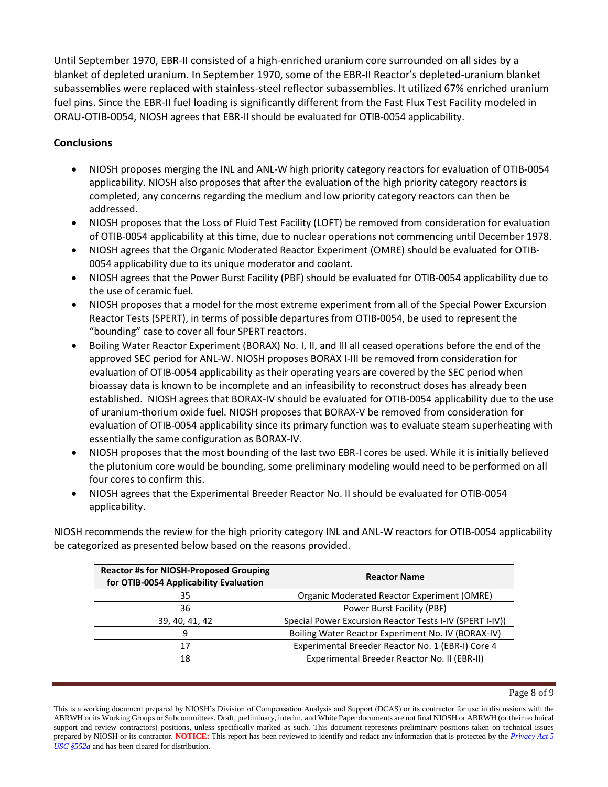Until September 1970, EBR-II consisted of a high-enriched uranium core surrounded on all sides by a blanket of depleted uranium. In September 1970, some of the EBR-II Reactor's depleted-uranium blanket subassemblies were replaced with stainless-steel reflector subassemblies. It utilized 67% enriched uranium fuel pins. Since the EBR-II fuel loading is significantly different from the Fast Flux Test Facility modeled in ORAU-OTIB-0054, NIOSH agrees that EBR-II should be evaluated for OTIB-0054 applicability.

# **Conclusions**

- NIOSH proposes merging the INL and ANL-W high priority category reactors for evaluation of OTIB-0054 applicability. NIOSH also proposes that after the evaluation of the high priority category reactors is completed, any concerns regarding the medium and low priority category reactors can then be addressed.
- NIOSH proposes that the Loss of Fluid Test Facility (LOFT) be removed from consideration for evaluation of OTIB-0054 applicability at this time, due to nuclear operations not commencing until December 1978.
- NIOSH agrees that the Organic Moderated Reactor Experiment (OMRE) should be evaluated for OTIB-0054 applicability due to its unique moderator and coolant.
- NIOSH agrees that the Power Burst Facility (PBF) should be evaluated for OTIB-0054 applicability due to the use of ceramic fuel.
- NIOSH proposes that a model for the most extreme experiment from all of the Special Power Excursion Reactor Tests (SPERT), in terms of possible departures from OTIB-0054, be used to represent the "bounding" case to cover all four SPERT reactors.
- Boiling Water Reactor Experiment (BORAX) No. I, II, and III all ceased operations before the end of the approved SEC period for ANL-W. NIOSH proposes BORAX I-III be removed from consideration for evaluation of OTIB-0054 applicability as their operating years are covered by the SEC period when bioassay data is known to be incomplete and an infeasibility to reconstruct doses has already been established. NIOSH agrees that BORAX-IV should be evaluated for OTIB-0054 applicability due to the use of uranium-thorium oxide fuel. NIOSH proposes that BORAX-V be removed from consideration for evaluation of OTIB-0054 applicability since its primary function was to evaluate steam superheating with essentially the same configuration as BORAX-IV.
- NIOSH proposes that the most bounding of the last two EBR-I cores be used. While it is initially believed the plutonium core would be bounding, some preliminary modeling would need to be performed on all four cores to confirm this.
- NIOSH agrees that the Experimental Breeder Reactor No. II should be evaluated for OTIB-0054 applicability.

NIOSH recommends the review for the high priority category INL and ANL-W reactors for OTIB-0054 applicability be categorized as presented below based on the reasons provided.

| <b>Reactor #s for NIOSH-Proposed Grouping</b><br>for OTIB-0054 Applicability Evaluation | <b>Reactor Name</b>                                      |
|-----------------------------------------------------------------------------------------|----------------------------------------------------------|
| 35                                                                                      | Organic Moderated Reactor Experiment (OMRE)              |
| 36                                                                                      | Power Burst Facility (PBF)                               |
| 39, 40, 41, 42                                                                          | Special Power Excursion Reactor Tests I-IV (SPERT I-IV)) |
| 9                                                                                       | Boiling Water Reactor Experiment No. IV (BORAX-IV)       |
| 17                                                                                      | Experimental Breeder Reactor No. 1 (EBR-I) Core 4        |
| 18                                                                                      | Experimental Breeder Reactor No. II (EBR-II)             |

This is a working document prepared by NIOSH's Division of Compensation Analysis and Support (DCAS) or its contractor for use in discussions with the ABRWH or its Working Groups or Subcommittees. Draft, preliminary, interim, and White Paper documents are not final NIOSH or ABRWH (or their technical support and review contractors) positions, unless specifically marked as such. This document represents preliminary positions taken on technical issues prepared by NIOSH or its contractor. **NOTICE:** This report has been reviewed to identify and redact any information that is protected by the *Privacy Act 5 USC §552a* and has been cleared for distribution.